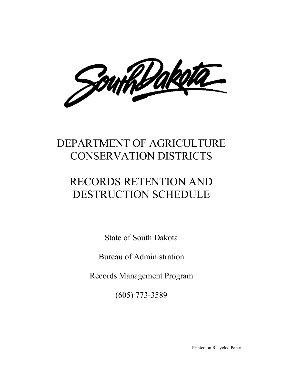South Dakella

# DEPARTMENT OF AGRICULTURE CONSERVATION DISTRICTS

# RECORDS RETENTION AND DESTRUCTION SCHEDULE

State of South Dakota

Bureau of Administration

Records Management Program

(605) 773-3589

Printed on Recycled Paper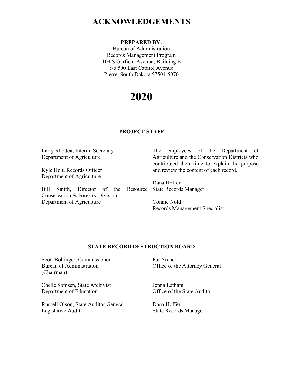### **ACKNOWLEDGEMENTS**

#### **PREPARED BY:**

Bureau of Administration Records Management Program 104 S Garfield Avenue; Building E c/o 500 East Capitol Avenue Pierre, South Dakota 57501-5070

# **2020**

#### **PROJECT STAFF**

Larry Rhoden, Interim Secretary Department of Agriculture Kyle Holt, Records Officer Department of Agriculture Bill Smith, Director of the Conservation & Forestry Division Department of Agriculture The employees of the Department of Agriculture and the Conservation Districts who contributed their time to explain the purpose and review the content of each record. Dana Hoffer Resource State Records Manager Connie Nold Records Management Specialist

#### **STATE RECORD DESTRUCTION BOARD**

Scott Bollinger, Commissioner Bureau of Administration (Chairman)

Chelle Somsen, State Archivist Department of Education

Russell Olson, State Auditor General Legislative Audit

Pat Archer Office of the Attorney General

Jenna Latham Office of the State Auditor

Dana Hoffer State Records Manager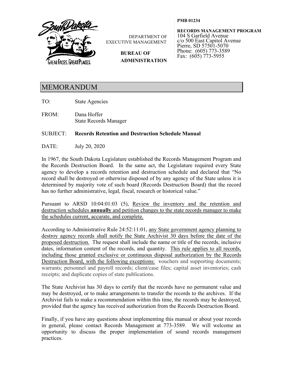

DEPARTMENT OF EXECUTIVE MANAGEMENT

> **BUREAU OF ADMINISTRATION**

**RECORDS MANAGEMENT PROGRAM** 104 S Garfield Avenue c/o 500 East Capitol Avenue Pierre, SD 57501-5070 Phone: (605) 773-3589 Fax: (605) 773-5955

**PMB 01234**

### MEMORANDUM

TO: State Agencies

FROM: Dana Hoffer State Records Manager

#### SUBJECT: **Records Retention and Destruction Schedule Manual**

DATE: July 20, 2020

In 1967, the South Dakota Legislature established the Records Management Program and the Records Destruction Board. In the same act, the Legislature required every State agency to develop a records retention and destruction schedule and declared that "No record shall be destroyed or otherwise disposed of by any agency of the State unless it is determined by majority vote of such board (Records Destruction Board) that the record has no further administrative, legal, fiscal, research or historical value."

Pursuant to ARSD 10:04:01:03 (5), Review the inventory and the retention and destruction schedules **annually** and petition changes to the state records manager to make the schedules current, accurate, and complete.

According to Administrative Rule 24:52:11:01, any State government agency planning to destroy agency records shall notify the State Archivist 30 days before the date of the proposed destruction. The request shall include the name or title of the records, inclusive dates, information content of the records, and quantity. This rule applies to all records, including those granted exclusive or continuous disposal authorization by the Records Destruction Board, with the following exceptions: vouchers and supporting documents; warrants; personnel and payroll records; client/case files; capital asset inventories; cash receipts; and duplicate copies of state publications.

The State Archivist has 30 days to certify that the records have no permanent value and may be destroyed, or to make arrangements to transfer the records to the archives. If the Archivist fails to make a recommendation within this time, the records may be destroyed, provided that the agency has received authorization from the Records Destruction Board.

Finally, if you have any questions about implementing this manual or about your records in general, please contact Records Management at 773-3589. We will welcome an opportunity to discuss the proper implementation of sound records management practices.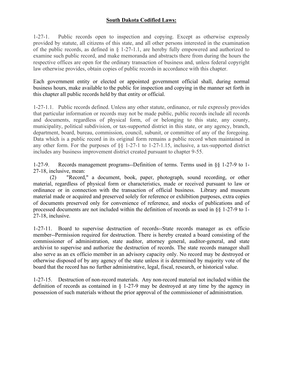#### **South Dakota Codified Laws:**

1-27-1. Public records open to inspection and copying. Except as otherwise expressly provided by statute, all citizens of this state, and all other persons interested in the examination of the public records, as defined in § 1-27-1.1, are hereby fully empowered and authorized to examine such public record, and make memoranda and abstracts there from during the hours the respective offices are open for the ordinary transaction of business and, unless federal copyright law otherwise provides, obtain copies of public records in accordance with this chapter.

Each government entity or elected or appointed government official shall, during normal business hours, make available to the public for inspection and copying in the manner set forth in this chapter all public records held by that entity or official.

1-27-1.1. Public records defined. Unless any other statute, ordinance, or rule expressly provides that particular information or records may not be made public, public records include all records and documents, regardless of physical form, of or belonging to this state, any county, municipality, political subdivision, or tax-supported district in this state, or any agency, branch, department, board, bureau, commission, council, subunit, or committee of any of the foregoing. Data which is a public record in its original form remains a public record when maintained in any other form. For the purposes of §§ 1-27-1 to 1-27-1.15, inclusive, a tax-supported district includes any business improvement district created pursuant to chapter 9-55.

1-27-9. Records management programs--Definition of terms. Terms used in §§ 1-27-9 to 1- 27-18, inclusive, mean:

(2) "Record," a document, book, paper, photograph, sound recording, or other material, regardless of physical form or characteristics, made or received pursuant to law or ordinance or in connection with the transaction of official business. Library and museum material made or acquired and preserved solely for reference or exhibition purposes, extra copies of documents preserved only for convenience of reference, and stocks of publications and of processed documents are not included within the definition of records as used in §§ 1-27-9 to 1- 27-18, inclusive.

1-27-11. Board to supervise destruction of records--State records manager as ex officio member--Permission required for destruction. There is hereby created a board consisting of the commissioner of administration, state auditor, attorney general, auditor-general, and state archivist to supervise and authorize the destruction of records. The state records manager shall also serve as an ex officio member in an advisory capacity only. No record may be destroyed or otherwise disposed of by any agency of the state unless it is determined by majority vote of the board that the record has no further administrative, legal, fiscal, research, or historical value.

1-27-15. Destruction of non-record materials. Any non-record material not included within the definition of records as contained in § 1-27-9 may be destroyed at any time by the agency in possession of such materials without the prior approval of the commissioner of administration.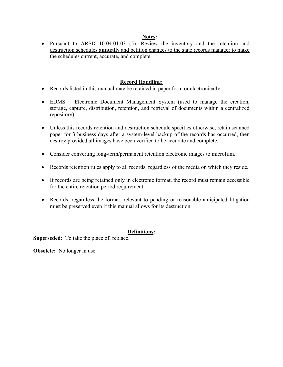#### **Notes:**

• Pursuant to ARSD 10:04:01:03 (5), Review the inventory and the retention and destruction schedules **annually** and petition changes to the state records manager to make the schedules current, accurate, and complete.

#### **Record Handling:**

- Records listed in this manual may be retained in paper form or electronically.
- EDMS = Electronic Document Management System (used to manage the creation, storage, capture, distribution, retention, and retrieval of documents within a centralized repository).
- Unless this records retention and destruction schedule specifies otherwise, retain scanned paper for 3 business days after a system-level backup of the records has occurred, then destroy provided all images have been verified to be accurate and complete.
- Consider converting long-term/permanent retention electronic images to microfilm.
- Records retention rules apply to all records, regardless of the media on which they reside.
- If records are being retained only in electronic format, the record must remain accessible for the entire retention period requirement.
- Records, regardless the format, relevant to pending or reasonable anticipated litigation must be preserved even if this manual allows for its destruction.

#### **Definitions:**

**Superseded:** To take the place of; replace.

**Obsolete:** No longer in use.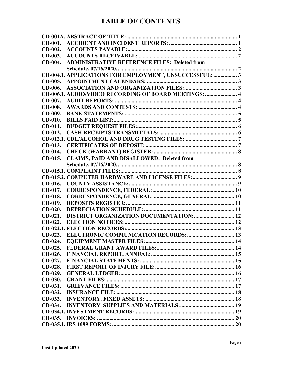### **TABLE OF CONTENTS**

| $CD-001.$ |                                                         |  |
|-----------|---------------------------------------------------------|--|
| $CD-002.$ |                                                         |  |
| CD-003.   |                                                         |  |
| $CD-004.$ | <b>ADMINISTRATIVE REFERENCE FILES: Deleted from</b>     |  |
|           |                                                         |  |
|           | CD-004.1. APPLICATIONS FOR EMPLOYMENT, UNSUCCESSFUL:  3 |  |
| $CD-005.$ |                                                         |  |
| CD-006.   |                                                         |  |
|           | CD-006.1. AUDIO/VIDEO RECORDING OF BOARD MEETINGS:  4   |  |
| $CD-007.$ |                                                         |  |
| CD-008.   |                                                         |  |
| CD-009.   |                                                         |  |
| $CD-010.$ |                                                         |  |
| $CD-011.$ |                                                         |  |
| $CD-012.$ |                                                         |  |
|           |                                                         |  |
| $CD-013.$ |                                                         |  |
| CD-014.   |                                                         |  |
| $CD-015.$ | <b>CLAIMS, PAID AND DISALLOWED: Deleted from</b>        |  |
|           |                                                         |  |
|           |                                                         |  |
|           |                                                         |  |
| $CD-016.$ |                                                         |  |
| CD-017.   |                                                         |  |
| $CD-018.$ |                                                         |  |
| $CD-019.$ |                                                         |  |
| $CD-020.$ |                                                         |  |
| $CD-021.$ | <b>DISTRICT ORGANIZATION DOCUMENTATION: 12</b>          |  |
| $CD-022.$ |                                                         |  |
|           |                                                         |  |
| $CD-023.$ |                                                         |  |
| $CD-024$  | <b>EQUIPMENT MASTER FILES:</b>                          |  |
| $CD-025.$ |                                                         |  |
| $CD-026.$ |                                                         |  |
| $CD-027.$ |                                                         |  |
| $CD-028.$ |                                                         |  |
| $CD-029.$ |                                                         |  |
| $CD-030.$ |                                                         |  |
| $CD-031.$ |                                                         |  |
| $CD-032.$ |                                                         |  |
| $CD-033.$ |                                                         |  |
| $CD-034.$ |                                                         |  |
|           |                                                         |  |
|           |                                                         |  |
|           |                                                         |  |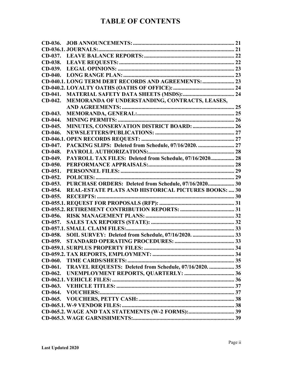### **TABLE OF CONTENTS**

| CD-036.   |                                                             |  |
|-----------|-------------------------------------------------------------|--|
|           |                                                             |  |
|           |                                                             |  |
| CD-038.   |                                                             |  |
| CD-039.   |                                                             |  |
| $CD-040.$ |                                                             |  |
|           |                                                             |  |
|           |                                                             |  |
| $CD-041.$ |                                                             |  |
| $CD-042.$ | MEMORANDA OF UNDERSTANDING, CONTRACTS, LEASES,              |  |
|           |                                                             |  |
| $CD-043.$ |                                                             |  |
| CD-044.   |                                                             |  |
| CD-045.   | <b>MINUTES, CONSERVATION DISTRICT BOARD:  26</b>            |  |
| CD-046.   |                                                             |  |
|           |                                                             |  |
| CD-047.   | PACKING SLIPS: Deleted from Schedule, 07/16/2020.  27       |  |
| CD-048.   |                                                             |  |
| CD-049.   | PAYROLL TAX FILES: Deleted from Schedule, 07/16/2020 28     |  |
| $CD-050.$ |                                                             |  |
| $CD-051.$ |                                                             |  |
| $CD-052.$ |                                                             |  |
|           |                                                             |  |
| $CD-053.$ | PURCHASE ORDERS: Deleted from Schedule, 07/16/2020 30       |  |
| $CD-054.$ | <b>REAL-ESTATE PLATS AND HISTORICAL PICTURES BOOKS:  30</b> |  |
| $CD-055.$ |                                                             |  |
|           |                                                             |  |
|           |                                                             |  |
| $CD-056.$ |                                                             |  |
|           |                                                             |  |
|           |                                                             |  |
| $CD-058.$ |                                                             |  |
| $CD-059.$ | SOIL SURVEY: Deleted from Schedule, 07/16/2020.  33         |  |
|           |                                                             |  |
|           |                                                             |  |
| $CD-060.$ |                                                             |  |
| $CD-061.$ |                                                             |  |
| $CD-062.$ | TRAVEL REQUESTS: Deleted from Schedule, 07/16/2020.  35     |  |
|           |                                                             |  |
|           |                                                             |  |
| $CD-064.$ |                                                             |  |
| $CD-065.$ |                                                             |  |
|           |                                                             |  |
|           |                                                             |  |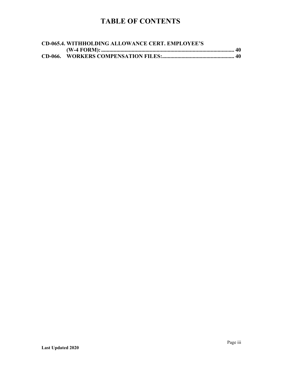### **TABLE OF CONTENTS**

| <b>CD-065.4. WITHHOLDING ALLOWANCE CERT. EMPLOYEE'S</b> |  |
|---------------------------------------------------------|--|
|                                                         |  |
|                                                         |  |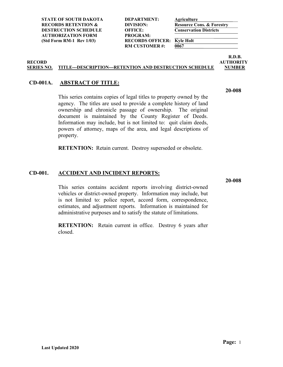**STATE OF SOUTH DAKOTA DEPARTMENT: Agriculture RECORDS RETENTION & DIVISION: Resource Cons. & Forestry DESTRUCTION SCHEDULE OFFICE: Conservation Districts AUTHORIZATION FORM PROGRAM:**

(Std Form RM-1 Rev 1/03) RECORDS OFFICER:  $\frac{\text{Kyle Holt}}{0067}$ **RM CUSTOMER#:** 

**R.D.B. RECORD AUTHORITY**

**20-008**

#### **SERIES NO. TITLE---DESCRIPTION---RETENTION AND DESTRUCTION SCHEDULE NUMBER**

#### <span id="page-8-0"></span>**CD-001A. ABSTRACT OF TITLE:**

This series contains copies of legal titles to property owned by the agency. The titles are used to provide a complete history of land ownership and chronicle passage of ownership. The original document is maintained by the County Register of Deeds. Information may include, but is not limited to: quit claim deeds, powers of attorney, maps of the area, and legal descriptions of property.

**RETENTION:** Retain current. Destroy superseded or obsolete.

#### <span id="page-8-1"></span>**CD-001. ACCIDENT AND INCIDENT REPORTS:**

This series contains accident reports involving district-owned vehicles or district-owned property. Information may include, but is not limited to: police report, accord form, correspondence, estimates, and adjustment reports. Information is maintained for administrative purposes and to satisfy the statute of limitations.

**RETENTION:** Retain current in office. Destroy 6 years after closed.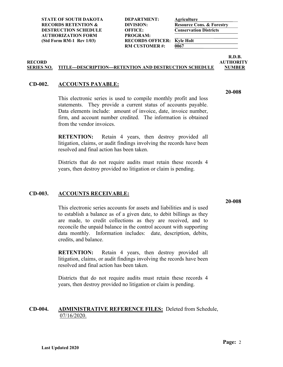**STATE OF SOUTH DAKOTA DEPARTMENT: Agriculture RECORDS RETENTION & DIVISION: Resource Cons. & Forestry DESTRUCTION SCHEDULE OFFICE: Conservation Districts AUTHORIZATION FORM PROGRAM:**

(Std Form RM-1 Rev 1/03) **RECORDS OFFICER: Kyle Holt**<br>RM CUSTOMER#: 0067 **RM CUSTOMER#:** 

**R.D.B. RECORD AUTHORITY**

**20-008**

#### **SERIES NO. TITLE---DESCRIPTION---RETENTION AND DESTRUCTION SCHEDULE NUMBER**

#### <span id="page-9-0"></span>**CD-002. ACCOUNTS PAYABLE:**

This electronic series is used to compile monthly profit and loss statements. They provide a current status of accounts payable. Data elements include: amount of invoice, date, invoice number, firm, and account number credited. The information is obtained from the vendor invoices.

**RETENTION:** Retain 4 years, then destroy provided all litigation, claims, or audit findings involving the records have been resolved and final action has been taken.

Districts that do not require audits must retain these records 4 years, then destroy provided no litigation or claim is pending.

#### <span id="page-9-1"></span>**CD-003. ACCOUNTS RECEIVABLE:**

This electronic series accounts for assets and liabilities and is used to establish a balance as of a given date, to debit billings as they are made, to credit collections as they are received, and to reconcile the unpaid balance in the control account with supporting data monthly. Information includes: date, description, debits, credits, and balance.

**RETENTION:** Retain 4 years, then destroy provided all litigation, claims, or audit findings involving the records have been resolved and final action has been taken.

Districts that do not require audits must retain these records 4 years, then destroy provided no litigation or claim is pending.

#### <span id="page-9-2"></span>**CD-004. ADMINISTRATIVE REFERENCE FILES:** Deleted from Schedule, 07/16/2020.

**20-008**

**Page:** 2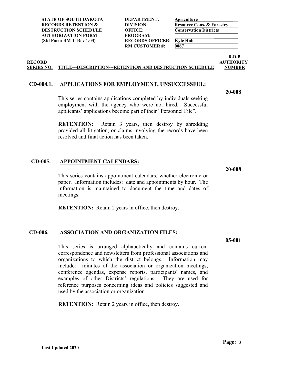**STATE OF SOUTH DAKOTA DEPARTMENT: Agriculture RECORDS RETENTION & DIVISION:**<br> **Resource Cons. & Forestry**<br> **DESTRUCTION SCHEDULE** OFFICE: **Conservation Districts DESTRUCTION SCHEDULE OFFICE: AUTHORIZATION FORM PROGRAM:**

(Std Form RM-1 Rev 1/03) **RECORDS OFFICER: Kyle Holt**<br>RM CUSTOMER #: 0067 **RM CUSTOMER#:** 

**R.D.B. RECORD AUTHORITY**

#### **SERIES NO. TITLE---DESCRIPTION---RETENTION AND DESTRUCTION SCHEDULE NUMBER**

#### <span id="page-10-0"></span>**CD-004.1. APPLICATIONS FOR EMPLOYMENT, UNSUCCESSFUL:**

**20-008**

This series contains applications completed by individuals seeking employment with the agency who were not hired. Successful applicants' applications become part of their "Personnel File".

**RETENTION:** Retain 3 years, then destroy by shredding provided all litigation, or claims involving the records have been resolved and final action has been taken.

#### <span id="page-10-1"></span>**CD-005. APPOINTMENT CALENDARS:**

This series contains appointment calendars, whether electronic or paper. Information includes: date and appointments by hour. The information is maintained to document the time and dates of meetings.

**RETENTION:** Retain 2 years in office, then destroy.

#### <span id="page-10-2"></span>**CD-006. ASSOCIATION AND ORGANIZATION FILES:**

This series is arranged alphabetically and contains current correspondence and newsletters from professional associations and organizations to which the district belongs. Information may include: minutes of the association or organization meetings, conference agendas, expense reports, participants' names, and examples of other Districts' regulations. They are used for reference purposes concerning ideas and policies suggested and used by the association or organization.

**RETENTION:** Retain 2 years in office, then destroy.

**Page:** 3

**20-008**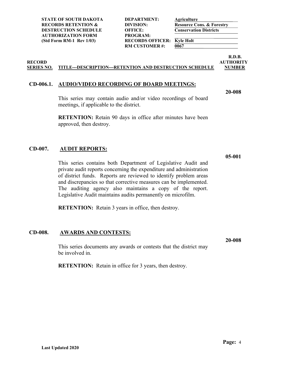| DEPARTMENT:             |
|-------------------------|
| DIVISION:               |
| <b>OFFICE:</b>          |
| PROGRAM:                |
| <b>RECORDS OFFICER:</b> |
| <b>RM CUSTOMER#:</b>    |
|                         |

 $\overline{0067}$ 

**R.D.B. RECORD AUTHORITY**

**20-008**

#### **SERIES NO. TITLE---DESCRIPTION---RETENTION AND DESTRUCTION SCHEDULE NUMBER**

#### <span id="page-11-0"></span>**CD-006.1. AUDIO/VIDEO RECORDING OF BOARD MEETINGS:**

This series may contain audio and/or video recordings of board meetings, if applicable to the district.

**RETENTION:** Retain 90 days in office after minutes have been approved, then destroy.

#### <span id="page-11-1"></span>**CD-007. AUDIT REPORTS:**

This series contains both Department of Legislative Audit and private audit reports concerning the expenditure and administration of district funds. Reports are reviewed to identify problem areas and discrepancies so that corrective measures can be implemented. The auditing agency also maintains a copy of the report. Legislative Audit maintains audits permanently on microfilm.

**RETENTION:** Retain 3 years in office, then destroy.

#### <span id="page-11-2"></span>**CD-008. AWARDS AND CONTESTS:**

This series documents any awards or contests that the district may be involved in.

**RETENTION:** Retain in office for 3 years, then destroy.

**Last Updated 2020**

**Page:** 4

**05-001**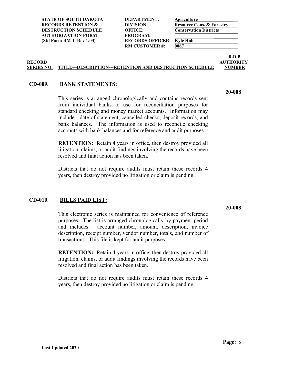**RM CUSTOMER #: 0067** 

**R.D.B. RECORD AUTHORITY**

#### **SERIES NO. TITLE---DESCRIPTION---RETENTION AND DESTRUCTION SCHEDULE NUMBER**

#### <span id="page-12-0"></span>**CD-009. BANK STATEMENTS:**

This series is arranged chronologically and contains records sent from individual banks to use for reconciliation purposes for standard checking and money market accounts. Information may include: date of statement, cancelled checks, deposit records, and bank balances. The information is used to reconcile checking accounts with bank balances and for reference and audit purposes.

**RETENTION:** Retain 4 years in office, then destroy provided all litigation, claims, or audit findings involving the records have been resolved and final action has been taken.

Districts that do not require audits must retain these records 4 years, then destroy provided no litigation or claim is pending.

#### <span id="page-12-1"></span>**CD-010. BILLS PAID LIST:**

This electronic series is maintained for convenience of reference purposes. The list is arranged chronologically by payment period and includes: account number, amount, description, invoice description, receipt number, vendor number, totals, and number of transactions. This file is kept for audit purposes.

**RETENTION:** Retain 4 years in office, then destroy provided all litigation, claims, or audit findings involving the records have been resolved and final action has been taken.

Districts that do not require audits must retain these records 4 years, then destroy provided no litigation or claim is pending.

### **20-008**

**20-008**

**Page:** 5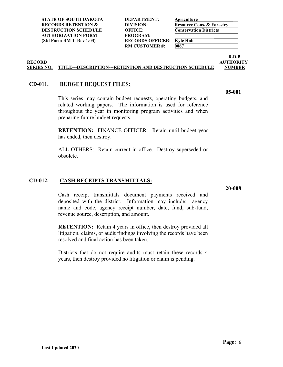**STATE OF SOUTH DAKOTA DEPARTMENT: Agriculture RECORDS RETENTION & DIVISION: Resource Cons. & Forestry DESTRUCTION SCHEDULE OFFICE: Conservation Districts AUTHORIZATION FORM PROGRAM:**

**Last Updated 2020**

(Std Form RM-1 Rev 1/03) **RECORDS OFFICER: Kyle Holt**<br>RM CUSTOMER #: 0067 **RM CUSTOMER#:** 

**R.D.B. RECORD AUTHORITY**

**05-001**

#### **SERIES NO. TITLE---DESCRIPTION---RETENTION AND DESTRUCTION SCHEDULE NUMBER**

#### <span id="page-13-0"></span>**CD-011. BUDGET REQUEST FILES:**

This series may contain budget requests, operating budgets, and related working papers. The information is used for reference throughout the year in monitoring program activities and when preparing future budget requests.

**RETENTION:** FINANCE OFFICER: Retain until budget year has ended, then destroy.

ALL OTHERS: Retain current in office. Destroy superseded or obsolete.

#### <span id="page-13-1"></span>**CD-012. CASH RECEIPTS TRANSMITTALS:**

**20-008**

Cash receipt transmittals document payments received and deposited with the district. Information may include: agency name and code, agency receipt number, date, fund, sub-fund, revenue source, description, and amount.

**RETENTION:** Retain 4 years in office, then destroy provided all litigation, claims, or audit findings involving the records have been resolved and final action has been taken.

Districts that do not require audits must retain these records 4 years, then destroy provided no litigation or claim is pending.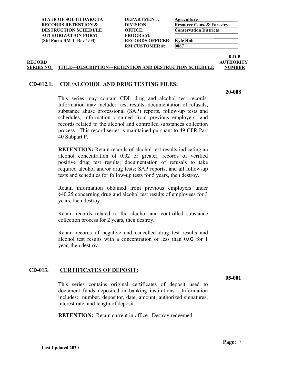**RM CUSTOMER #: 0067** 

**R.D.B. RECORD AUTHORITY**

#### **SERIES NO. TITLE---DESCRIPTION---RETENTION AND DESTRUCTION SCHEDULE NUMBER**

#### <span id="page-14-0"></span>**CD-012.1. CDL/ALCOHOL AND DRUG TESTING FILES:**

**20-008**

This series may contain CDL drug and alcohol test records. Information may include: test results, documentation of refusals, substance abuse professional (SAP) reports, follow-up tests and schedules, information obtained from previous employers, and records related to the alcohol and controlled substances collection process. This record series is maintained pursuant to 49 CFR Part 40 Subpart P.

**RETENTION:** Retain records of alcohol test results indicating an alcohol concentration of 0.02 or greater; records of verified positive drug test results; documentation of refusals to take required alcohol and/or drug tests; SAP reports, and all follow-up tests and schedules for follow-up tests for 5 years, then destroy.

Retain information obtained from previous employers under §40.25 concerning drug and alcohol test results of employees for 3 years, then destroy.

Retain records related to the alcohol and controlled substance collection process for 2 years, then destroy.

Retain records of negative and cancelled drug test results and alcohol test results with a concentration of less than 0.02 for 1 year, then destroy.

#### <span id="page-14-1"></span>**CD-013. CERTIFICATES OF DEPOSIT:**

**05-001**

This series contains original certificates of deposit used to document funds deposited in banking institutions. Information includes: number, depositor, date, amount, authorized signatures, interest rate, and length of deposit.

**RETENTION:** Retain current in office. Destroy redeemed.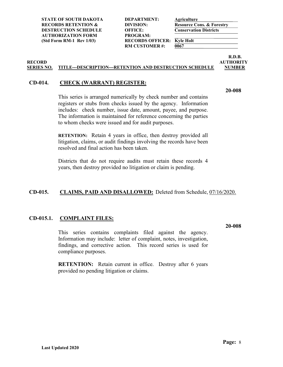**STATE OF SOUTH DAKOTA DEPARTMENT: Agriculture RECORDS RETENTION & DIVISION:**<br> **Resource Cons. & Forestry**<br> **DESTRUCTION SCHEDULE** OFFICE: **Conservation Districts DESTRUCTION SCHEDULE OFFICE: AUTHORIZATION FORM PROGRAM:**

(Std Form RM-1 Rev 1/03) **RECORDS OFFICER: Kyle Holt**<br>RM CUSTOMER#: 0067 **RM CUSTOMER#:** 

**R.D.B. RECORD AUTHORITY**

#### **SERIES NO. TITLE---DESCRIPTION---RETENTION AND DESTRUCTION SCHEDULE NUMBER**

#### <span id="page-15-0"></span>**CD-014. CHECK (WARRANT) REGISTER:**

**20-008**

This series is arranged numerically by check number and contains registers or stubs from checks issued by the agency. Information includes: check number, issue date, amount, payee, and purpose. The information is maintained for reference concerning the parties to whom checks were issued and for audit purposes.

**RETENTION:** Retain 4 years in office, then destroy provided all litigation, claims, or audit findings involving the records have been resolved and final action has been taken.

Districts that do not require audits must retain these records 4 years, then destroy provided no litigation or claim is pending.

#### <span id="page-15-1"></span>**CD-015. CLAIMS, PAID AND DISALLOWED:** Deleted from Schedule, 07/16/2020.

#### <span id="page-15-2"></span>**CD-015.1. COMPLAINT FILES:**

This series contains complaints filed against the agency. Information may include: letter of complaint, notes, investigation, findings, and corrective action. This record series is used for compliance purposes.

**RETENTION:** Retain current in office. Destroy after 6 years provided no pending litigation or claims.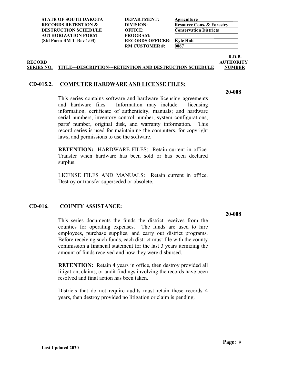| DEPARTMENT:            |
|------------------------|
| DIVISION:              |
| <b>OFFICE:</b>         |
| PROGRAM:               |
| <b>RECORDS OFFICER</b> |
| <b>RM CUSTOMER#:</b>   |
|                        |

*<u>0067</u>* 

**R.D.B. RECORD AUTHORITY**

#### **SERIES NO. TITLE---DESCRIPTION---RETENTION AND DESTRUCTION SCHEDULE NUMBER**

#### <span id="page-16-0"></span>**CD-015.2. COMPUTER HARDWARE AND LICENSE FILES:**

**20-008**

This series contains software and hardware licensing agreements and hardware files. Information may include: licensing information, certificate of authenticity, manuals; and hardware serial numbers, inventory control number, system configurations, parts' number, original disk, and warranty information. This record series is used for maintaining the computers, for copyright laws, and permissions to use the software.

**RETENTION:** HARDWARE FILES: Retain current in office. Transfer when hardware has been sold or has been declared surplus.

LICENSE FILES AND MANUALS: Retain current in office. Destroy or transfer superseded or obsolete.

#### <span id="page-16-1"></span>**CD-016. COUNTY ASSISTANCE:**

This series documents the funds the district receives from the counties for operating expenses. The funds are used to hire employees, purchase supplies, and carry out district programs. Before receiving such funds, each district must file with the county commission a financial statement for the last 3 years itemizing the amount of funds received and how they were disbursed.

**RETENTION:** Retain 4 years in office, then destroy provided all litigation, claims, or audit findings involving the records have been resolved and final action has been taken.

Districts that do not require audits must retain these records 4 years, then destroy provided no litigation or claim is pending.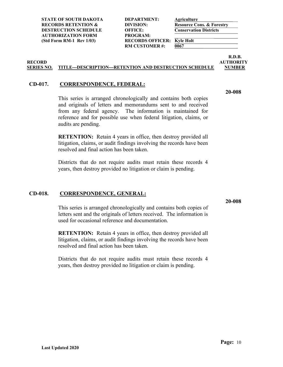**STATE OF SOUTH DAKOTA DEPARTMENT: Agriculture RECORDS RETENTION & DIVISION: Resource Cons. & Forestry DESTRUCTION SCHEDULE OFFICE: Conservation Districts AUTHORIZATION FORM PROGRAM:**

(Std Form RM-1 Rev 1/03) **RECORDS OFFICER: Kyle Holt**<br>RM CUSTOMER #: 0067 **RM CUSTOMER#:** 

**R.D.B. RECORD AUTHORITY**

#### **SERIES NO. TITLE---DESCRIPTION---RETENTION AND DESTRUCTION SCHEDULE NUMBER**

#### <span id="page-17-0"></span>**CD-017. CORRESPONDENCE, FEDERAL:**

This series is arranged chronologically and contains both copies and originals of letters and memorandums sent to and received from any federal agency. The information is maintained for reference and for possible use when federal litigation, claims, or audits are pending.

**RETENTION:** Retain 4 years in office, then destroy provided all litigation, claims, or audit findings involving the records have been resolved and final action has been taken.

Districts that do not require audits must retain these records 4 years, then destroy provided no litigation or claim is pending.

#### <span id="page-17-1"></span>**CD-018. CORRESPONDENCE, GENERAL:**

This series is arranged chronologically and contains both copies of letters sent and the originals of letters received. The information is used for occasional reference and documentation.

**RETENTION:** Retain 4 years in office, then destroy provided all litigation, claims, or audit findings involving the records have been resolved and final action has been taken.

Districts that do not require audits must retain these records 4 years, then destroy provided no litigation or claim is pending.

**20-008**

**20-008**

**Page:** 10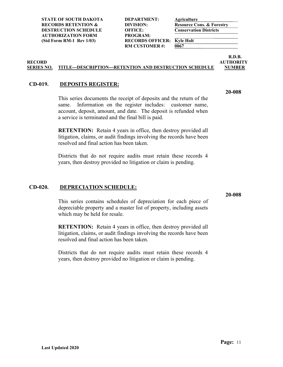**RM CUSTOMER #: 0067** 

**R.D.B. RECORD AUTHORITY**

#### **SERIES NO. TITLE---DESCRIPTION---RETENTION AND DESTRUCTION SCHEDULE NUMBER**

#### <span id="page-18-0"></span>**CD-019. DEPOSITS REGISTER:**

This series documents the receipt of deposits and the return of the same. Information on the register includes: customer name, account, deposit, amount, and date. The deposit is refunded when a service is terminated and the final bill is paid.

**RETENTION:** Retain 4 years in office, then destroy provided all litigation, claims, or audit findings involving the records have been resolved and final action has been taken.

Districts that do not require audits must retain these records 4 years, then destroy provided no litigation or claim is pending.

#### <span id="page-18-1"></span>**CD-020. DEPRECIATION SCHEDULE:**

This series contains schedules of depreciation for each piece of depreciable property and a master list of property, including assets which may be held for resale.

**RETENTION:** Retain 4 years in office, then destroy provided all litigation, claims, or audit findings involving the records have been resolved and final action has been taken.

Districts that do not require audits must retain these records 4 years, then destroy provided no litigation or claim is pending.

**20-008**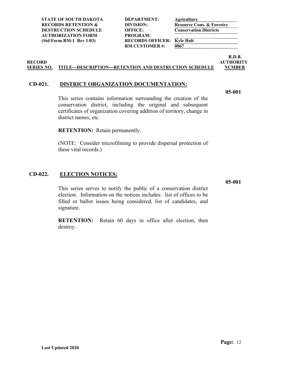| DEPARTMENT:             |
|-------------------------|
| DIVISION:               |
| <b>OFFICE:</b>          |
| PROGRAM:                |
| <b>RECORDS OFFICER:</b> |
| <b>RM CUSTOMER #:</b>   |
|                         |

 $\overline{0067}$ 

**R.D.B. RECORD AUTHORITY**

#### **SERIES NO. TITLE---DESCRIPTION---RETENTION AND DESTRUCTION SCHEDULE NUMBER**

#### <span id="page-19-0"></span>**CD-021. DISTRICT ORGANIZATION DOCUMENTATION:**

**05-001**

This series contains information surrounding the creation of the conservation district, including the original and subsequent certificates of organization covering addition of territory, change in district names, etc.

**RETENTION:** Retain permanently.

(NOTE: Consider microfilming to provide dispersal protection of these vital records.)

#### <span id="page-19-1"></span>**CD-022. ELECTION NOTICES:**

**05-001**

This series serves to notify the public of a conservation district election. Information on the notices includes: list of offices to be filled or ballot issues being considered, list of candidates, and signature.

**RETENTION:** Retain 60 days in office after election, then destroy.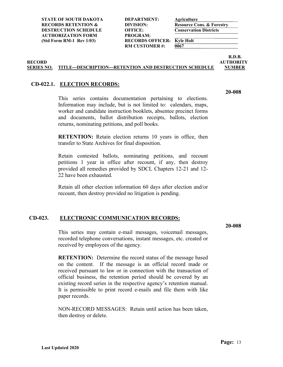**RM CUSTOMER #: 0067** 

**R.D.B. RECORD AUTHORITY**

#### **SERIES NO. TITLE---DESCRIPTION---RETENTION AND DESTRUCTION SCHEDULE NUMBER**

#### <span id="page-20-0"></span>**CD-022.1. ELECTION RECORDS:**

This series contains documentation pertaining to elections. Information may include, but is not limited to: calendars, maps, worker and candidate instruction booklets, absentee precinct forms and documents, ballot distribution receipts, ballots, election returns, nominating petitions, and poll books.

**RETENTION:** Retain election returns 10 years in office, then transfer to State Archives for final disposition.

Retain contested ballots, nominating petitions, and recount petitions 1 year in office after recount, if any, then destroy provided all remedies provided by SDCL Chapters 12-21 and 12- 22 have been exhausted.

Retain all other election information 60 days after election and/or recount, then destroy provided no litigation is pending.

#### <span id="page-20-1"></span>**CD-023. ELECTRONIC COMMUNICATION RECORDS:**

**20-008**

This series may contain e-mail messages, voicemail messages, recorded telephone conversations, instant messages, etc. created or received by employees of the agency.

**RETENTION:** Determine the record status of the message based on the content. If the message is an official record made or received pursuant to law or in connection with the transaction of official business, the retention period should be covered by an existing record series in the respective agency's retention manual. It is permissible to print record e-mails and file them with like paper records.

NON-RECORD MESSAGES: Retain until action has been taken, then destroy or delete.

**Page:** 13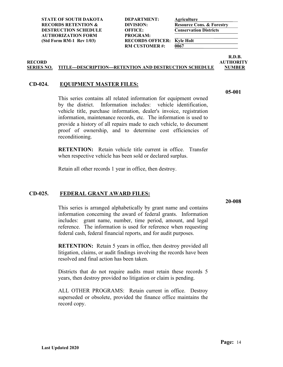**STATE OF SOUTH DAKOTA DEPARTMENT: Agriculture RECORDS RETENTION & DIVISION: Resource Cons. & Forestry DESTRUCTION SCHEDULE OFFICE: Conservation Districts AUTHORIZATION FORM PROGRAM:**

(Std Form RM-1 Rev 1/03) **RECORDS OFFICER: Kyle Holt**<br>RM CUSTOMER #: 0067 **RM CUSTOMER#:** 

**R.D.B. RECORD AUTHORITY**

#### **SERIES NO. TITLE---DESCRIPTION---RETENTION AND DESTRUCTION SCHEDULE NUMBER**

#### <span id="page-21-0"></span>**CD-024. EQUIPMENT MASTER FILES:**

This series contains all related information for equipment owned by the district. Information includes: vehicle identification, vehicle title, purchase information, dealer's invoice, registration information, maintenance records, etc. The information is used to provide a history of all repairs made to each vehicle, to document proof of ownership, and to determine cost efficiencies of reconditioning.

**RETENTION:** Retain vehicle title current in office. Transfer when respective vehicle has been sold or declared surplus.

Retain all other records 1 year in office, then destroy.

#### <span id="page-21-1"></span>**CD-025. FEDERAL GRANT AWARD FILES:**

This series is arranged alphabetically by grant name and contains information concerning the award of federal grants. Information includes: grant name, number, time period, amount, and legal reference. The information is used for reference when requesting federal cash, federal financial reports, and for audit purposes.

**RETENTION:** Retain 5 years in office, then destroy provided all litigation, claims, or audit findings involving the records have been resolved and final action has been taken.

Districts that do not require audits must retain these records 5 years, then destroy provided no litigation or claim is pending.

ALL OTHER PROGRAMS: Retain current in office. Destroy superseded or obsolete, provided the finance office maintains the record copy.

**05-001**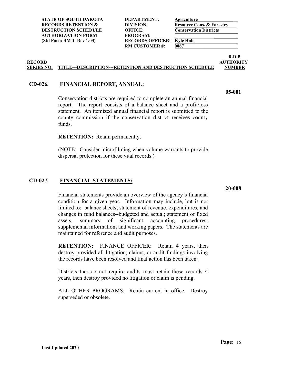**RM CUSTOMER #: 0067** 

**R.D.B. RECORD AUTHORITY**

**05-001**

#### **SERIES NO. TITLE---DESCRIPTION---RETENTION AND DESTRUCTION SCHEDULE NUMBER**

#### <span id="page-22-0"></span>**CD-026. FINANCIAL REPORT, ANNUAL:**

Conservation districts are required to complete an annual financial report. The report consists of a balance sheet and a profit/loss statement. An itemized annual financial report is submitted to the county commission if the conservation district receives county funds.

**RETENTION:** Retain permanently.

(NOTE: Consider microfilming when volume warrants to provide dispersal protection for these vital records.)

#### <span id="page-22-1"></span>**CD-027. FINANCIAL STATEMENTS:**

Financial statements provide an overview of the agency's financial condition for a given year. Information may include, but is not limited to: balance sheets; statement of revenue, expenditures, and changes in fund balances--budgeted and actual; statement of fixed assets; summary of significant accounting procedures; supplemental information; and working papers. The statements are maintained for reference and audit purposes.

**RETENTION:** FINANCE OFFICER: Retain 4 years, then destroy provided all litigation, claims, or audit findings involving the records have been resolved and final action has been taken.

Districts that do not require audits must retain these records 4 years, then destroy provided no litigation or claim is pending.

ALL OTHER PROGRAMS: Retain current in office. Destroy superseded or obsolete.

**20-008**

**Page:** 15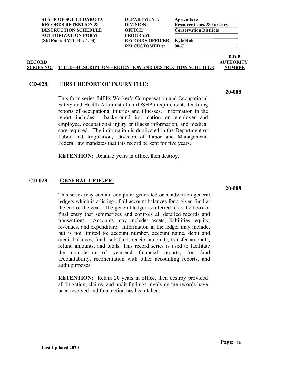**STATE OF SOUTH DAKOTA DEPARTMENT: Agriculture RECORDS RETENTION & DIVISION: Resource Cons. & Forestry DESTRUCTION SCHEDULE OFFICE: Conservation Districts AUTHORIZATION FORM PROGRAM:**

(Std Form RM-1 Rev 1/03) **RECORDS OFFICER: Kyle Holt**<br>RM CUSTOMER #: 0067 **RM CUSTOMER#:** 

**R.D.B. RECORD AUTHORITY**

#### **SERIES NO. TITLE---DESCRIPTION---RETENTION AND DESTRUCTION SCHEDULE NUMBER**

#### <span id="page-23-0"></span>**CD-028. FIRST REPORT OF INJURY FILE:**

This form series fulfills Worker's Compensation and Occupational Safety and Health Administration (OSHA) requirements for filing reports of occupational injuries and illnesses. Information in the report includes: background information on employer and employee, occupational injury or illness information, and medical care required. The information is duplicated in the Department of Labor and Regulation, Division of Labor and Management. Federal law mandates that this record be kept for five years.

**RETENTION:** Retain 5 years in office, then destroy.

#### <span id="page-23-1"></span>**CD-029. GENERAL LEDGER:**

This series may contain computer generated or handwritten general ledgers which is a listing of all account balances for a given fund at the end of the year. The general ledger is referred to as the book of final entry that summarizes and controls all detailed records and transactions. Accounts may include: assets, liabilities, equity, revenues, and expenditure. Information in the ledger may include, but is not limited to: account number, account name, debit and credit balances, fund, sub-fund, receipt amounts, transfer amounts, refund amounts, and totals. This record series is used to facilitate the completion of year-end financial reports, for fund accountability, reconciliation with other accounting reports, and audit purposes.

**RETENTION:** Retain 20 years in office, then destroy provided all litigation, claims, and audit findings involving the records have been resolved and final action has been taken.

**20-008**

**20-008**

**Last Updated 2020**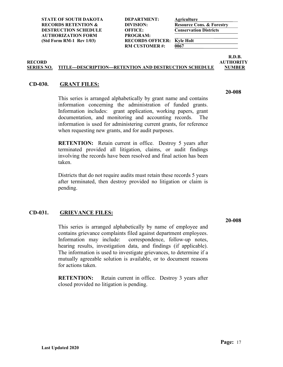**RM CUSTOMER #: 0067** 

**R.D.B.**

#### **RECORD AUTHORITY SERIES NO. TITLE---DESCRIPTION---RETENTION AND DESTRUCTION SCHEDULE NUMBER**

#### <span id="page-24-0"></span>**CD-030. GRANT FILES:**

This series is arranged alphabetically by grant name and contains information concerning the administration of funded grants. Information includes: grant application, working papers, grant documentation, and monitoring and accounting records. The information is used for administering current grants, for reference when requesting new grants, and for audit purposes.

**RETENTION:** Retain current in office. Destroy 5 years after terminated provided all litigation, claims, or audit findings involving the records have been resolved and final action has been taken.

Districts that do not require audits must retain these records 5 years after terminated, then destroy provided no litigation or claim is pending.

#### <span id="page-24-1"></span>**CD-031. GRIEVANCE FILES:**

This series is arranged alphabetically by name of employee and contains grievance complaints filed against department employees. Information may include: correspondence, follow-up notes, hearing results, investigation data, and findings (if applicable). The information is used to investigate grievances, to determine if a mutually agreeable solution is available, or to document reasons for actions taken.

**RETENTION:** Retain current in office. Destroy 3 years after closed provided no litigation is pending.

**20-008**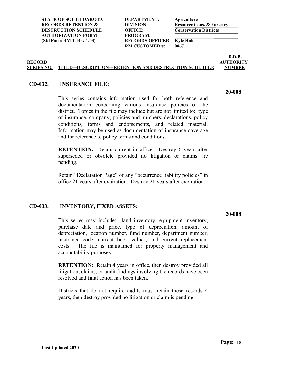**Last Updated 2020**

**RM CUSTOMER #: 0067** 

## **SERIES NO. TITLE---DESCRIPTION---RETENTION AND DESTRUCTION SCHEDULE NUMBER**

#### <span id="page-25-0"></span>**CD-032. INSURANCE FILE:**

This series contains information used for both reference and documentation concerning various insurance policies of the district. Topics in the file may include but are not limited to: type of insurance, company, policies and numbers, declarations, policy conditions, forms and endorsements, and related material. Information may be used as documentation of insurance coverage and for reference to policy terms and conditions.

**RETENTION:** Retain current in office. Destroy 6 years after superseded or obsolete provided no litigation or claims are pending.

Retain "Declaration Page" of any "occurrence liability policies" in office 21 years after expiration. Destroy 21 years after expiration.

#### <span id="page-25-1"></span>**CD-033. INVENTORY, FIXED ASSETS:**

This series may include: land inventory, equipment inventory, purchase date and price, type of depreciation, amount of depreciation, location number, fund number, department number, insurance code, current book values, and current replacement costs. The file is maintained for property management and accountability purposes.

**RETENTION:** Retain 4 years in office, then destroy provided all litigation, claims, or audit findings involving the records have been resolved and final action has been taken.

Districts that do not require audits must retain these records 4 years, then destroy provided no litigation or claim is pending.

**R.D.B. RECORD AUTHORITY**

**20-008**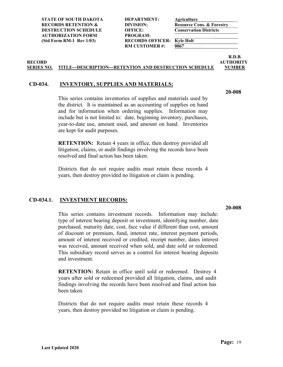| DEPARTMENT:            |
|------------------------|
| DIVISION:              |
| <b>OFFICE:</b>         |
| PROGRAM:               |
| <b>RECORDS OFFICER</b> |
| <b>RM CUSTOMER#:</b>   |
|                        |

 $\overline{0067}$ 

**R.D.B. RECORD AUTHORITY**

#### **SERIES NO. TITLE---DESCRIPTION---RETENTION AND DESTRUCTION SCHEDULE NUMBER**

#### <span id="page-26-0"></span>**CD-034. INVENTORY, SUPPLIES AND MATERIALS:**

**20-008**

This series contains inventories of supplies and materials used by the district. It is maintained as an accounting of supplies on hand and for information when ordering supplies. Information may include but is not limited to: date, beginning inventory, purchases, year-to-date use, amount used, and amount on hand. Inventories are kept for audit purposes.

**RETENTION:** Retain 4 years in office, then destroy provided all litigation, claims, or audit findings involving the records have been resolved and final action has been taken.

Districts that do not require audits must retain these records 4 years, then destroy provided no litigation or claim is pending.

#### <span id="page-26-1"></span>**CD-034.1. INVESTMENT RECORDS:**

**20-008**

This series contains investment records. Information may include: type of interest bearing deposit or investment, identifying number, date purchased, maturity date, cost, face value if different than cost, amount of discount or premium, fund, interest rate, interest payment periods, amount of interest received or credited, receipt number, dates interest was received, amount received when sold, and date sold or redeemed. This subsidiary record serves as a control for interest bearing deposits and investment.

**RETENTION:** Retain in office until sold or redeemed. Destroy 4 years after sold or redeemed provided all litigation, claims, and audit findings involving the records have been resolved and final action has been taken.

Districts that do not require audits must retain these records 4 years, then destroy provided no litigation or claim is pending.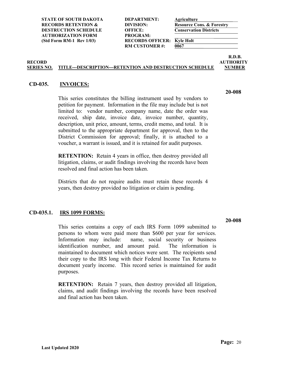**RM CUSTOMER #: 0067** 

**R.D.B. RECORD AUTHORITY**

#### **SERIES NO. TITLE---DESCRIPTION---RETENTION AND DESTRUCTION SCHEDULE NUMBER**

#### <span id="page-27-0"></span>**CD-035. INVOICES:**

This series constitutes the billing instrument used by vendors to petition for payment. Information in the file may include but is not limited to: vendor number, company name, date the order was received, ship date, invoice date, invoice number, quantity, description, unit price, amount, terms, credit memo, and total. It is submitted to the appropriate department for approval, then to the District Commission for approval; finally, it is attached to a voucher, a warrant is issued, and it is retained for audit purposes.

**RETENTION:** Retain 4 years in office, then destroy provided all litigation, claims, or audit findings involving the records have been resolved and final action has been taken.

Districts that do not require audits must retain these records 4 years, then destroy provided no litigation or claim is pending.

#### <span id="page-27-1"></span>**CD-035.1. IRS 1099 FORMS:**

This series contains a copy of each IRS Form 1099 submitted to persons to whom were paid more than \$600 per year for services. Information may include: name, social security or business identification number, and amount paid. The information is maintained to document which notices were sent. The recipients send their copy to the IRS long with their Federal Income Tax Returns to document yearly income. This record series is maintained for audit purposes.

**RETENTION:** Retain 7 years, then destroy provided all litigation, claims, and audit findings involving the records have been resolved and final action has been taken.

**20-008**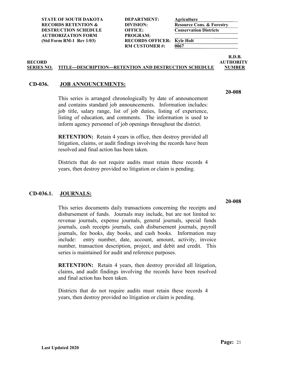**RM CUSTOMER #: 0067** 

**R.D.B. RECORD AUTHORITY**

#### **SERIES NO. TITLE---DESCRIPTION---RETENTION AND DESTRUCTION SCHEDULE NUMBER**

#### <span id="page-28-0"></span>**CD-036. JOB ANNOUNCEMENTS:**

This series is arranged chronologically by date of announcement and contains standard job announcements. Information includes: job title, salary range, list of job duties, listing of experience, listing of education, and comments. The information is used to inform agency personnel of job openings throughout the district.

**RETENTION:** Retain 4 years in office, then destroy provided all litigation, claims, or audit findings involving the records have been resolved and final action has been taken.

Districts that do not require audits must retain these records 4 years, then destroy provided no litigation or claim is pending.

#### <span id="page-28-1"></span>**CD-036.1. JOURNALS:**

This series documents daily transactions concerning the receipts and disbursement of funds. Journals may include, but are not limited to: revenue journals, expense journals, general journals, special funds journals, cash receipts journals, cash disbursement journals, payroll journals, fee books, day books, and cash books. Information may include: entry number, date, account, amount, activity, invoice number, transaction description, project, and debit and credit. This series is maintained for audit and reference purposes.

**RETENTION:** Retain 4 years, then destroy provided all litigation, claims, and audit findings involving the records have been resolved and final action has been taken.

Districts that do not require audits must retain these records 4 years, then destroy provided no litigation or claim is pending.

**20-008**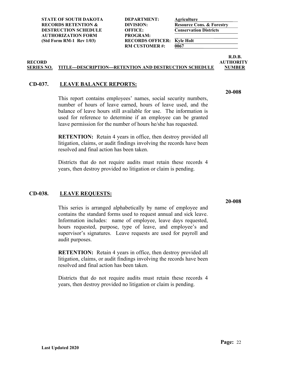**RM CUSTOMER #: 0067** 

**R.D.B. RECORD AUTHORITY**

#### **SERIES NO. TITLE---DESCRIPTION---RETENTION AND DESTRUCTION SCHEDULE NUMBER**

#### <span id="page-29-0"></span>**CD-037. LEAVE BALANCE REPORTS:**

This report contains employees' names, social security numbers, number of hours of leave earned, hours of leave used, and the balance of leave hours still available for use. The information is used for reference to determine if an employee can be granted leave permission for the number of hours he/she has requested.

**RETENTION:** Retain 4 years in office, then destroy provided all litigation, claims, or audit findings involving the records have been resolved and final action has been taken.

Districts that do not require audits must retain these records 4 years, then destroy provided no litigation or claim is pending.

#### <span id="page-29-1"></span>**CD-038. LEAVE REQUESTS:**

This series is arranged alphabetically by name of employee and contains the standard forms used to request annual and sick leave. Information includes: name of employee, leave days requested, hours requested, purpose, type of leave, and employee's and supervisor's signatures. Leave requests are used for payroll and audit purposes.

**RETENTION:** Retain 4 years in office, then destroy provided all litigation, claims, or audit findings involving the records have been resolved and final action has been taken.

Districts that do not require audits must retain these records 4 years, then destroy provided no litigation or claim is pending.

### **20-008**

**20-008**

**Page:** 22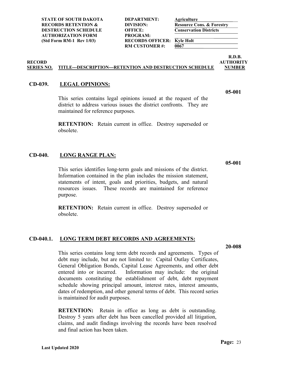**Last Updated 2020**

This series identifies long-term goals and missions of the district. purpose.

#### <span id="page-30-2"></span>**CD-040.1. LONG TERM DEBT RECORDS AND AGREEMENTS:**

This series contains long term debt records and agreements. Types of debt may include, but are not limited to: Capital Outlay Certificates, General Obligation Bonds, Capital Lease Agreements, and other debt entered into or incurred. Information may include: the original documents constituting the establishment of debt, debt repayment schedule showing principal amount, interest rates, interest amounts, dates of redemption, and other general terms of debt. This record series is maintained for audit purposes.

**RETENTION:** Retain in office as long as debt is outstanding. Destroy 5 years after debt has been cancelled provided all litigation, claims, and audit findings involving the records have been resolved and final action has been taken.

### <span id="page-30-1"></span>**CD-040. LONG RANGE PLAN:**

Information contained in the plan includes the mission statement, statements of intent, goals and priorities, budgets, and natural resources issues. These records are maintained for reference

**RETENTION:** Retain current in office. Destroy superseded or obsolete.

This series contains legal opinions issued at the request of the district to address various issues the district confronts. They are maintained for reference purposes.

**RETENTION:** Retain current in office. Destroy superseded or obsolete.

# **SERIES NO. TITLE---DESCRIPTION---RETENTION AND DESTRUCTION SCHEDULE NUMBER**

### <span id="page-30-0"></span>**CD-039. LEGAL OPINIONS:**

**RECORD AUTHORITY**

**RM CUSTOMER#:** 

**R.D.B.**

**05-001**

**05-001**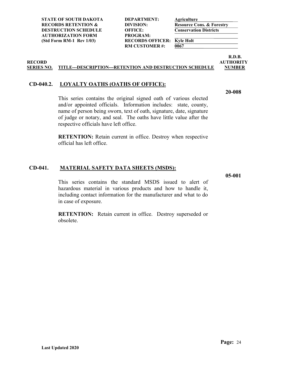| DEPARTMENT:            |
|------------------------|
| DIVISION:              |
| <b>OFFICE:</b>         |
| PROGRAM:               |
| <b>RECORDS OFFICER</b> |
| <b>RM CUSTOMER#:</b>   |
|                        |

 $\overline{0067}$ 

**R.D.B. RECORD AUTHORITY**

**20-008**

#### **SERIES NO. TITLE---DESCRIPTION---RETENTION AND DESTRUCTION SCHEDULE NUMBER**

#### <span id="page-31-0"></span>**CD-040.2. LOYALTY OATHS (OATHS OF OFFICE):**

This series contains the original signed oath of various elected and/or appointed officials. Information includes: state, county, name of person being sworn, text of oath, signature, date, signature of judge or notary, and seal. The oaths have little value after the respective officials have left office.

**RETENTION:** Retain current in office. Destroy when respective official has left office.

#### <span id="page-31-1"></span>**CD-041. MATERIAL SAFETY DATA SHEETS (MSDS):**

**05-001**

This series contains the standard MSDS issued to alert of hazardous material in various products and how to handle it, including contact information for the manufacturer and what to do in case of exposure.

**RETENTION:** Retain current in office. Destroy superseded or obsolete.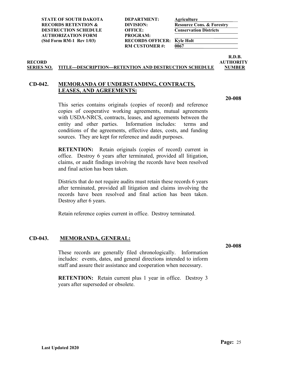**RM CUSTOMER #: 0067** 

**R.D.B. RECORD AUTHORITY**

#### **SERIES NO. TITLE---DESCRIPTION---RETENTION AND DESTRUCTION SCHEDULE NUMBER**

#### <span id="page-32-0"></span>**CD-042. MEMORANDA OF UNDERSTANDING, CONTRACTS, LEASES, AND AGREEMENTS:**

**20-008**

This series contains originals (copies of record) and reference copies of cooperative working agreements, mutual agreements with USDA-NRCS, contracts, leases, and agreements between the entity and other parties. Information includes: terms and conditions of the agreements, effective dates, costs, and funding sources. They are kept for reference and audit purposes.

**RETENTION:** Retain originals (copies of record) current in office. Destroy 6 years after terminated, provided all litigation, claims, or audit findings involving the records have been resolved and final action has been taken.

Districts that do not require audits must retain these records 6 years after terminated, provided all litigation and claims involving the records have been resolved and final action has been taken. Destroy after 6 years.

Retain reference copies current in office. Destroy terminated.

#### <span id="page-32-1"></span>**CD-043. MEMORANDA, GENERAL:**

These records are generally filed chronologically. Information includes: events, dates, and general directions intended to inform staff and assure their assistance and cooperation when necessary.

**RETENTION:** Retain current plus 1 year in office. Destroy 3 years after superseded or obsolete.

**20-008**

**Last Updated 2020**

**Page:** 25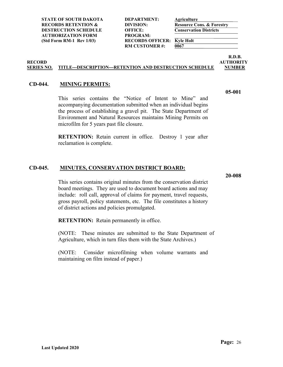**STATE OF SOUTH DAKOTA DEPARTMENT: Agriculture RECORDS RETENTION & DIVISION:**<br> **Resource Cons. & Forestry**<br> **DESTRUCTION SCHEDULE** OFFICE: **Conservation Districts DESTRUCTION SCHEDULE OFFICE: AUTHORIZATION FORM PROGRAM:**

(Std Form RM-1 Rev 1/03) **RECORDS OFFICER: Kyle Holt**<br>RM CUSTOMER #: 0067 **RM CUSTOMER#:** 

**R.D.B. RECORD AUTHORITY**

#### **SERIES NO. TITLE---DESCRIPTION---RETENTION AND DESTRUCTION SCHEDULE NUMBER**

#### <span id="page-33-0"></span>**CD-044. MINING PERMITS:**

This series contains the "Notice of Intent to Mine" and accompanying documentation submitted when an individual begins the process of establishing a gravel pit. The State Department of Environment and Natural Resources maintains Mining Permits on microfilm for 5 years past file closure.

**RETENTION:** Retain current in office. Destroy 1 year after reclamation is complete.

#### <span id="page-33-1"></span>**CD-045. MINUTES, CONSERVATION DISTRICT BOARD:**

**20-008**

This series contains original minutes from the conservation district board meetings. They are used to document board actions and may include: roll call, approval of claims for payment, travel requests, gross payroll, policy statements, etc. The file constitutes a history of district actions and policies promulgated.

**RETENTION:** Retain permanently in office.

(NOTE: These minutes are submitted to the State Department of Agriculture, which in turn files them with the State Archives.)

(NOTE: Consider microfilming when volume warrants and maintaining on film instead of paper.)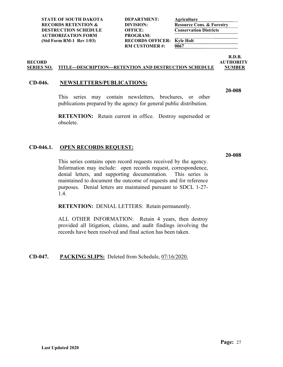**STATE OF SOUTH DAKOTA DEPARTMENT: Agriculture RECORDS RETENTION & DIVISION: Resource Cons. & Forestry DESTRUCTION SCHEDULE OFFICE: Conservation Districts AUTHORIZATION FORM PROGRAM:**

(Std Form RM-1 Rev 1/03) **RECORDS OFFICER: Kyle Holt**<br>RM CUSTOMER #: 0067 **RM CUSTOMER#:** 

**R.D.B. RECORD AUTHORITY**

**20-008**

#### **SERIES NO. TITLE---DESCRIPTION---RETENTION AND DESTRUCTION SCHEDULE NUMBER**

#### <span id="page-34-0"></span>**CD-046. NEWSLETTERS/PUBLICATIONS:**

This series may contain newsletters, brochures, or other publications prepared by the agency for general public distribution.

**RETENTION:** Retain current in office. Destroy superseded or obsolete.

#### <span id="page-34-1"></span>**CD-046.1. OPEN RECORDS REQUEST:**

**20-008**

This series contains open record requests received by the agency. Information may include: open records request, correspondence, denial letters, and supporting documentation. This series is maintained to document the outcome of requests and for reference purposes. Denial letters are maintained pursuant to SDCL 1-27- 1.4.

**RETENTION:** DENIAL LETTERS: Retain permanently.

ALL OTHER INFORMATION: Retain 4 years, then destroy provided all litigation, claims, and audit findings involving the records have been resolved and final action has been taken.

#### <span id="page-34-2"></span>**CD-047. PACKING SLIPS:** Deleted from Schedule, 07/16/2020.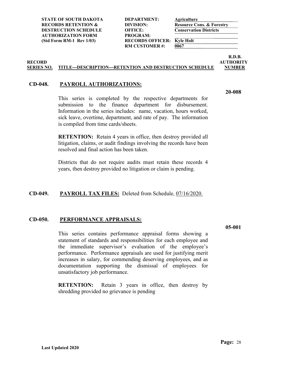**STATE OF SOUTH DAKOTA DEPARTMENT: Agriculture RECORDS RETENTION & DIVISION:**<br> **Resource Cons. & Forestry**<br> **DESTRUCTION SCHEDULE** OFFICE: **Conservation Districts DESTRUCTION SCHEDULE OFFICE: AUTHORIZATION FORM PROGRAM:**

(Std Form RM-1 Rev 1/03) **RECORDS OFFICER: Kyle Holt**<br>RM CUSTOMER #: 0067 **RM CUSTOMER#:** 

**R.D.B. RECORD AUTHORITY**

#### **SERIES NO. TITLE---DESCRIPTION---RETENTION AND DESTRUCTION SCHEDULE NUMBER**

#### <span id="page-35-0"></span>**CD-048. PAYROLL AUTHORIZATIONS:**

This series is completed by the respective departments for submission to the finance department for disbursement. Information in the series includes: name, vacation, hours worked, sick leave, overtime, department, and rate of pay. The information is compiled from time cards/sheets.

**RETENTION:** Retain 4 years in office, then destroy provided all litigation, claims, or audit findings involving the records have been resolved and final action has been taken.

Districts that do not require audits must retain these records 4 years, then destroy provided no litigation or claim is pending.

#### <span id="page-35-1"></span>**CD-049. PAYROLL TAX FILES:** Deleted from Schedule, 07/16/2020.

#### <span id="page-35-2"></span>**CD-050. PERFORMANCE APPRAISALS:**

This series contains performance appraisal forms showing a statement of standards and responsibilities for each employee and the immediate supervisor's evaluation of the employee's performance. Performance appraisals are used for justifying merit increases in salary, for commending deserving employees, and as documentation supporting the dismissal of employees for unsatisfactory job performance.

**RETENTION:** Retain 3 years in office, then destroy by shredding provided no grievance is pending

**05-001**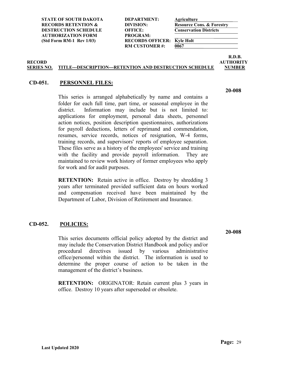**RM CUSTOMER #: 0067** 

**R.D.B.**

#### **SERIES NO. TITLE---DESCRIPTION---RETENTION AND DESTRUCTION SCHEDULE NUMBER**

#### <span id="page-36-0"></span>**CD-051. PERSONNEL FILES:**

This series is arranged alphabetically by name and contains a folder for each full time, part time, or seasonal employee in the district. Information may include but is not limited to: applications for employment, personal data sheets, personnel action notices, position description questionnaires, authorizations for payroll deductions, letters of reprimand and commendation, resumes, service records, notices of resignation, W-4 forms, training records, and supervisors' reports of employee separation. These files serve as a history of the employees' service and training with the facility and provide payroll information. They are maintained to review work history of former employees who apply for work and for audit purposes.

**RETENTION:** Retain active in office. Destroy by shredding 3 years after terminated provided sufficient data on hours worked and compensation received have been maintained by the Department of Labor, Division of Retirement and Insurance.

#### <span id="page-36-1"></span>**CD-052. POLICIES:**

This series documents official policy adopted by the district and may include the Conservation District Handbook and policy and/or procedural directives issued by various administrative office/personnel within the district. The information is used to determine the proper course of action to be taken in the management of the district's business.

**RETENTION:** ORIGINATOR: Retain current plus 3 years in office. Destroy 10 years after superseded or obsolete.

**20-008**

**20-008**

**RECORD AUTHORITY**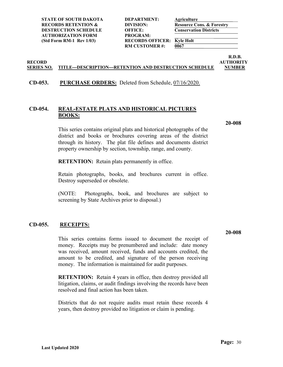| DEPARTMENT:             |
|-------------------------|
| DIVISION:               |
| <b>OFFICE:</b>          |
| PROGRAM:                |
| <b>RECORDS OFFICER:</b> |
| <b>RM CUSTOMER #:</b>   |
|                         |

 $\overline{0067}$ 

**R.D.B. RECORD AUTHORITY**

#### **SERIES NO. TITLE---DESCRIPTION---RETENTION AND DESTRUCTION SCHEDULE NUMBER**

#### <span id="page-37-0"></span>**CD-053. PURCHASE ORDERS:** Deleted from Schedule, 07/16/2020.

#### <span id="page-37-1"></span>**CD-054. REAL-ESTATE PLATS AND HISTORICAL PICTURES BOOKS:**

**20-008**

This series contains original plats and historical photographs of the district and books or brochures covering areas of the district through its history. The plat file defines and documents district property ownership by section, township, range, and county.

**RETENTION:** Retain plats permanently in office.

Retain photographs, books, and brochures current in office. Destroy superseded or obsolete.

(NOTE: Photographs, book, and brochures are subject to screening by State Archives prior to disposal.)

#### <span id="page-37-2"></span>**CD-055. RECEIPTS:**

This series contains forms issued to document the receipt of money. Receipts may be prenumbered and include: date money was received, amount received, funds and accounts credited, the amount to be credited, and signature of the person receiving money. The information is maintained for audit purposes.

**RETENTION:** Retain 4 years in office, then destroy provided all litigation, claims, or audit findings involving the records have been resolved and final action has been taken.

Districts that do not require audits must retain these records 4 years, then destroy provided no litigation or claim is pending.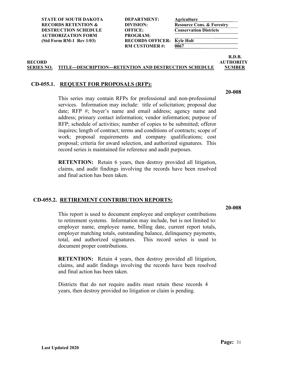**RM CUSTOMER #: 0067** 

**R.D.B. RECORD AUTHORITY**

#### **SERIES NO. TITLE---DESCRIPTION---RETENTION AND DESTRUCTION SCHEDULE NUMBER**

#### <span id="page-38-0"></span>**CD-055.1. REQUEST FOR PROPOSALS (RFP):**

This series may contain RFPs for professional and non-professional services. Information may include: title of solicitation; proposal due date; RFP #; buyer's name and email address; agency name and address; primary contact information; vendor information; purpose of RFP; schedule of activities; number of copies to be submitted; offeror inquires; length of contract; terms and conditions of contracts; scope of work; proposal requirements and company qualifications; cost proposal; criteria for award selection, and authorized signatures. This record series is maintained for reference and audit purposes.

**RETENTION:** Retain 6 years, then destroy provided all litigation, claims, and audit findings involving the records have been resolved and final action has been taken.

#### <span id="page-38-1"></span>**CD-055.2. RETIREMENT CONTRIBUTION REPORTS:**

**20-008**

This report is used to document employee and employer contributions to retirement systems. Information may include, but is not limited to: employer name, employee name, billing date, current report totals, employer matching totals, outstanding balance, delinquency payments, total, and authorized signatures. This record series is used to document proper contributions.

**RETENTION:** Retain 4 years, then destroy provided all litigation, claims, and audit findings involving the records have been resolved and final action has been taken.

Districts that do not require audits must retain these records 4 years, then destroy provided no litigation or claim is pending.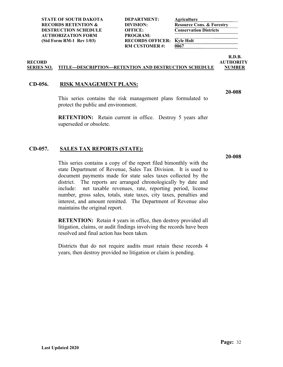| DEPARTMENT:            |
|------------------------|
| DIVISION:              |
| <b>OFFICE:</b>         |
| PROGRAM:               |
| <b>RECORDS OFFICER</b> |
| <b>RM CUSTOMER#:</b>   |
|                        |

 $\overline{0067}$ 

**R.D.B. RECORD AUTHORITY**

**20-008**

#### **SERIES NO. TITLE---DESCRIPTION---RETENTION AND DESTRUCTION SCHEDULE NUMBER**

#### <span id="page-39-0"></span>**CD-056. RISK MANAGEMENT PLANS:**

This series contains the risk management plans formulated to protect the public and environment.

**RETENTION:** Retain current in office. Destroy 5 years after superseded or obsolete.

#### <span id="page-39-1"></span>**CD-057. SALES TAX REPORTS (STATE):**

**20-008**

This series contains a copy of the report filed bimonthly with the state Department of Revenue, Sales Tax Division. It is used to document payments made for state sales taxes collected by the district. The reports are arranged chronologically by date and include: net taxable revenues, rate, reporting period, license number, gross sales, totals, state taxes, city taxes, penalties and interest, and amount remitted. The Department of Revenue also maintains the original report.

**RETENTION:** Retain 4 years in office, then destroy provided all litigation, claims, or audit findings involving the records have been resolved and final action has been taken.

Districts that do not require audits must retain these records 4 years, then destroy provided no litigation or claim is pending.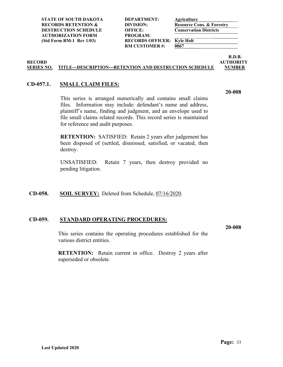**STATE OF SOUTH DAKOTA DEPARTMENT: Agriculture RECORDS RETENTION & DIVISION: Resource Cons. & Forestry DESTRUCTION SCHEDULE OFFICE: Conservation Districts AUTHORIZATION FORM PROGRAM:**

(Std Form RM-1 Rev 1/03) **RECORDS OFFICER: Kyle Holt**<br>RM CUSTOMER #: 0067 **RM CUSTOMER#:** 

**R.D.B. RECORD AUTHORITY**

#### **SERIES NO. TITLE---DESCRIPTION---RETENTION AND DESTRUCTION SCHEDULE NUMBER**

#### <span id="page-40-0"></span>**CD-057.1. SMALL CLAIM FILES:**

This series is arranged numerically and contains small claims files. Information may include: defendant's name and address, plaintiff's name, finding and judgment, and an envelope used to file small claims related records. This record series is maintained for reference and audit purposes.

**RETENTION:** SATISFIED: Retain 2 years after judgement has been disposed of (settled, dismissed, satisfied, or vacated, then destroy.

UNSATISFIED: Retain 7 years, then destroy provided no pending litigation.

#### <span id="page-40-1"></span>**CD-058. SOIL SURVEY:** Deleted from Schedule, 07/16/2020.

#### <span id="page-40-2"></span>**CD-059. STANDARD OPERATING PROCEDURES:**

**20-008**

This series contains the operating procedures established for the various district entities.

**RETENTION:** Retain current in office. Destroy 2 years after superseded or obsolete.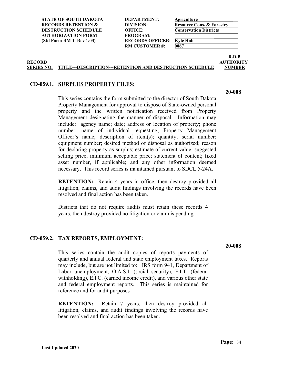**RM CUSTOMER #: 0067** 

**R.D.B. RECORD AUTHORITY**

#### **SERIES NO. TITLE---DESCRIPTION---RETENTION AND DESTRUCTION SCHEDULE NUMBER**

#### <span id="page-41-0"></span>**CD-059.1. SURPLUS PROPERTY FILES:**

This series contains the form submitted to the director of South Dakota Property Management for approval to dispose of State-owned personal property and the written notification received from Property Management designating the manner of disposal. Information may include: agency name; date; address or location of property; phone number; name of individual requesting; Property Management Officer's name; description of item(s); quantity; serial number; equipment number; desired method of disposal as authorized; reason for declaring property as surplus; estimate of current value; suggested selling price; minimum acceptable price; statement of content; fixed asset number, if applicable; and any other information deemed necessary. This record series is maintained pursuant to SDCL 5-24A.

**RETENTION:** Retain 4 years in office, then destroy provided all litigation, claims, and audit findings involving the records have been resolved and final action has been taken.

Districts that do not require audits must retain these records 4 years, then destroy provided no litigation or claim is pending.

#### <span id="page-41-1"></span>**CD-059.2. TAX REPORTS, EMPLOYMENT:**

This series contain the audit copies of reports payments of quarterly and annual federal and state employment taxes. Reports may include, but are not limited to: IRS form 941, Department of Labor unemployment, O.A.S.I. (social security), F.I.T. (federal withholding), E.I.C. (earned income credit), and various other state and federal employment reports. This series is maintained for reference and for audit purposes

**RETENTION:** Retain 7 years, then destroy provided all litigation, claims, and audit findings involving the records have been resolved and final action has been taken.

**20-008**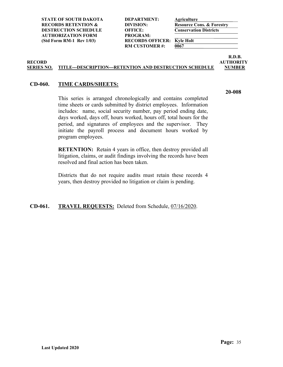**STATE OF SOUTH DAKOTA DEPARTMENT: Agriculture RECORDS RETENTION & DIVISION: Resource Cons. & Forestry DESTRUCTION SCHEDULE OFFICE: Conservation Districts AUTHORIZATION FORM PROGRAM:**

(Std Form RM-1 Rev 1/03) **RECORDS OFFICER: Kyle Holt**<br>RM CUSTOMER #: 0067 **RM CUSTOMER#:** 

**R.D.B. RECORD AUTHORITY**

#### **SERIES NO. TITLE---DESCRIPTION---RETENTION AND DESTRUCTION SCHEDULE NUMBER**

#### <span id="page-42-0"></span>**CD-060. TIME CARDS/SHEETS:**

This series is arranged chronologically and contains completed time sheets or cards submitted by district employees. Information includes: name, social security number, pay period ending date, days worked, days off, hours worked, hours off, total hours for the period, and signatures of employees and the supervisor. They initiate the payroll process and document hours worked by program employees.

**RETENTION:** Retain 4 years in office, then destroy provided all litigation, claims, or audit findings involving the records have been resolved and final action has been taken.

Districts that do not require audits must retain these records 4 years, then destroy provided no litigation or claim is pending.

<span id="page-42-1"></span>**CD-061. TRAVEL REQUESTS:** Deleted from Schedule, 07/16/2020.

**Page:** 35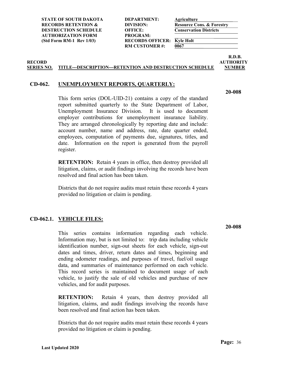| <b>DEPARTMENT:</b>    |
|-----------------------|
| DIVISION:             |
| <b>OFFICE:</b>        |
| PROGRAM:              |
| <b>RECORDS OFFICE</b> |
| <b>RM CUSTOMER#:</b>  |
|                       |

 $\overline{0067}$ 

**R.D.B. RECORD AUTHORITY**

#### **SERIES NO. TITLE---DESCRIPTION---RETENTION AND DESTRUCTION SCHEDULE NUMBER**

#### <span id="page-43-0"></span>**CD-062. UNEMPLOYMENT REPORTS, QUARTERLY:**

**20-008**

This form series (DOL-UID-21) contains a copy of the standard report submitted quarterly to the State Department of Labor, Unemployment Insurance Division. It is used to document employer contributions for unemployment insurance liability. They are arranged chronologically by reporting date and include: account number, name and address, rate, date quarter ended, employees, computation of payments due, signatures, titles, and date. Information on the report is generated from the payroll register.

**RETENTION:** Retain 4 years in office, then destroy provided all litigation, claims, or audit findings involving the records have been resolved and final action has been taken.

Districts that do not require audits must retain these records 4 years provided no litigation or claim is pending.

#### <span id="page-43-1"></span>**CD-062.1. VEHICLE FILES:**

This series contains information regarding each vehicle. Information may, but is not limited to: trip data including vehicle identification number, sign-out sheets for each vehicle, sign-out dates and times, driver, return dates and times, beginning and ending odometer readings, and purposes of travel, fuel/oil usage data, and summaries of maintenance performed on each vehicle. This record series is maintained to document usage of each vehicle, to justify the sale of old vehicles and purchase of new vehicles, and for audit purposes.

**RETENTION:** Retain 4 years, then destroy provided all litigation, claims, and audit findings involving the records have been resolved and final action has been taken.

Districts that do not require audits must retain these records 4 years provided no litigation or claim is pending.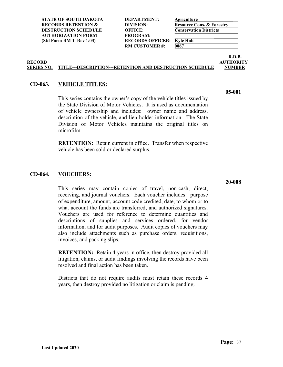**RM CUSTOMER #: 0067** 

**R.D.B. RECORD AUTHORITY**

**05-001**

#### **SERIES NO. TITLE---DESCRIPTION---RETENTION AND DESTRUCTION SCHEDULE NUMBER**

#### <span id="page-44-0"></span>**CD-063. VEHICLE TITLES:**

This series contains the owner's copy of the vehicle titles issued by the State Division of Motor Vehicles. It is used as documentation of vehicle ownership and includes: owner name and address, description of the vehicle, and lien holder information. The State Division of Motor Vehicles maintains the original titles on microfilm.

**RETENTION:** Retain current in office. Transfer when respective vehicle has been sold or declared surplus.

#### <span id="page-44-1"></span>**CD-064. VOUCHERS:**

This series may contain copies of travel, non-cash, direct, receiving, and journal vouchers. Each voucher includes: purpose of expenditure, amount, account code credited, date, to whom or to what account the funds are transferred, and authorized signatures. Vouchers are used for reference to determine quantities and descriptions of supplies and services ordered, for vendor information, and for audit purposes. Audit copies of vouchers may also include attachments such as purchase orders, requisitions, invoices, and packing slips.

**RETENTION:** Retain 4 years in office, then destroy provided all litigation, claims, or audit findings involving the records have been resolved and final action has been taken.

Districts that do not require audits must retain these records 4 years, then destroy provided no litigation or claim is pending.

**20-008**

**Page:** 37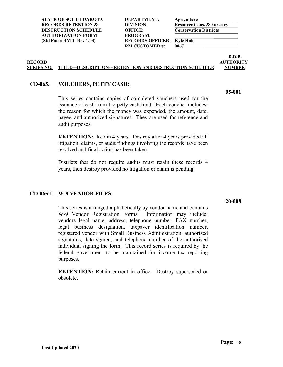**RM CUSTOMER #: 0067** 

**R.D.B. RECORD AUTHORITY**

#### **SERIES NO. TITLE---DESCRIPTION---RETENTION AND DESTRUCTION SCHEDULE NUMBER**

#### <span id="page-45-0"></span>**CD-065. VOUCHERS, PETTY CASH:**

This series contains copies of completed vouchers used for the issuance of cash from the petty cash fund. Each voucher includes: the reason for which the money was expended, the amount, date, payee, and authorized signatures. They are used for reference and audit purposes.

**RETENTION:** Retain 4 years. Destroy after 4 years provided all litigation, claims, or audit findings involving the records have been resolved and final action has been taken.

Districts that do not require audits must retain these records 4 years, then destroy provided no litigation or claim is pending.

#### <span id="page-45-1"></span>**CD-065.1. W-9 VENDOR FILES:**

This series is arranged alphabetically by vendor name and contains W-9 Vendor Registration Forms. Information may include: vendors legal name, address, telephone number, FAX number, legal business designation, taxpayer identification number, registered vendor with Small Business Administration, authorized signatures, date signed, and telephone number of the authorized individual signing the form. This record series is required by the federal government to be maintained for income tax reporting purposes.

**RETENTION:** Retain current in office. Destroy superseded or obsolete.

**20-008**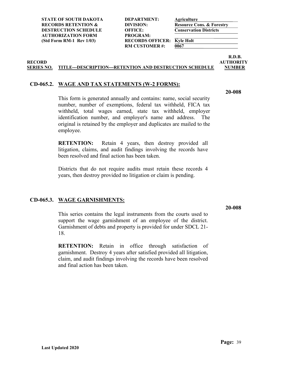**STATE OF SOUTH DAKOTA DEPARTMENT: Agriculture RECORDS RETENTION & DIVISION:**<br> **Resource Cons. & Forestry**<br> **DESTRUCTION SCHEDULE** OFFICE: **Conservation Districts DESTRUCTION SCHEDULE OFFICE: AUTHORIZATION FORM PROGRAM:**

(Std Form RM-1 Rev 1/03) **RECORDS OFFICER: Kyle Holt**<br>RM CUSTOMER #: 0067 **RM CUSTOMER#:** 

**R.D.B. RECORD AUTHORITY**

#### **SERIES NO. TITLE---DESCRIPTION---RETENTION AND DESTRUCTION SCHEDULE NUMBER**

#### <span id="page-46-0"></span>**CD-065.2. WAGE AND TAX STATEMENTS (W-2 FORMS):**

**20-008**

This form is generated annually and contains: name, social security number, number of exemptions, federal tax withheld, FICA tax withheld, total wages earned, state tax withheld, employer identification number, and employer's name and address. The original is retained by the employer and duplicates are mailed to the employee.

**RETENTION:** Retain 4 years, then destroy provided all litigation, claims, and audit findings involving the records have been resolved and final action has been taken.

Districts that do not require audits must retain these records 4 years, then destroy provided no litigation or claim is pending.

#### <span id="page-46-1"></span>**CD-065.3. WAGE GARNISHMENTS:**

This series contains the legal instruments from the courts used to support the wage garnishment of an employee of the district. Garnishment of debts and property is provided for under SDCL 21- 18.

**RETENTION:** Retain in office through satisfaction of garnishment. Destroy 4 years after satisfied provided all litigation, claim, and audit findings involving the records have been resolved and final action has been taken.